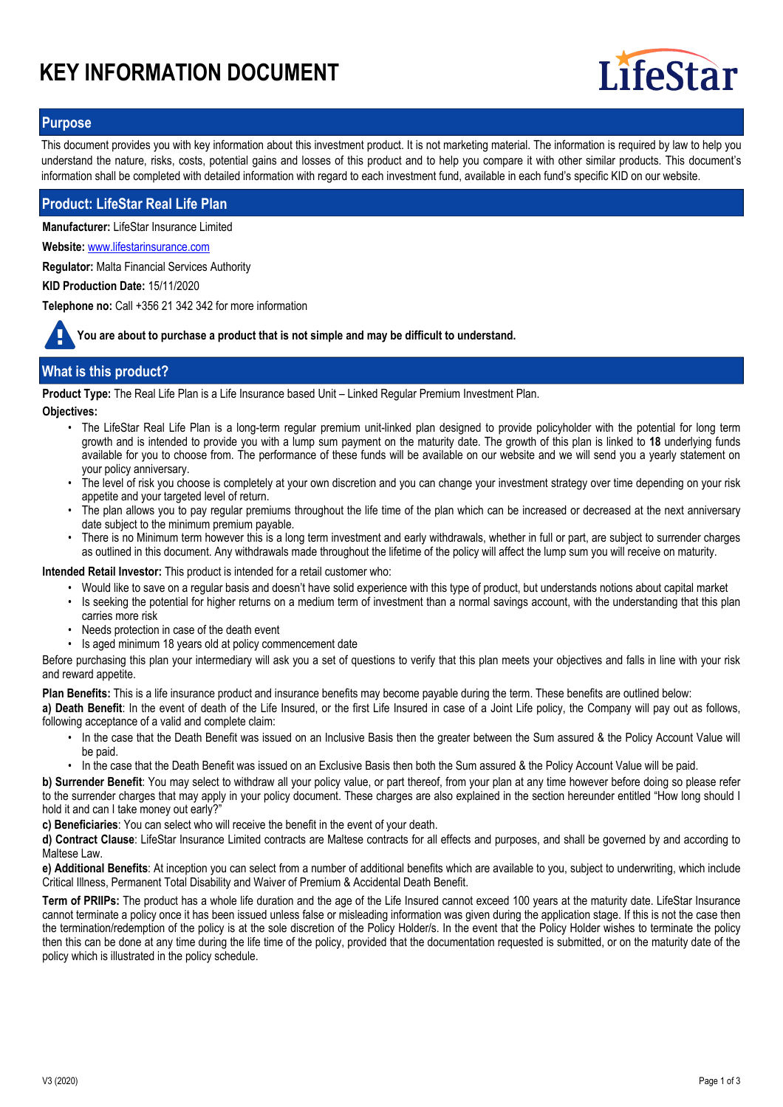# **KEY INFORMATION DOCUMENT**



## **Purpose**

This document provides you with key information about this investment product. It is not marketing material. The information is required by law to help you understand the nature, risks, costs, potential gains and losses of this product and to help you compare it with other similar products. This document's information shall be completed with detailed information with regard to each investment fund, available in each fund's specific KID on our website.

## **Product: LifeStar Real Life Plan**

**Manufacturer:** LifeStar Insurance Limited

**Website:** www.lifestarinsurance.com

**Regulator:** Malta Financial Services Authority

**KID Production Date:** 15/11/2020

**Telephone no:** Call +356 21 342 342 for more information

**You are about to purchase a product that is not simple and may be difficult to understand.**

# **What is this product?**

**Product Type:** The Real Life Plan is a Life Insurance based Unit – Linked Regular Premium Investment Plan.

**Objectives:**

- The LifeStar Real Life Plan is a long-term regular premium unit-linked plan designed to provide policyholder with the potential for long term growth and is intended to provide you with a lump sum payment on the maturity date. The growth of this plan is linked to **18** underlying funds available for you to choose from. The performance of these funds will be available on our website and we will send you a yearly statement on your policy anniversary.
- The level of risk you choose is completely at your own discretion and you can change your investment strategy over time depending on your risk appetite and your targeted level of return.
- The plan allows you to pay regular premiums throughout the life time of the plan which can be increased or decreased at the next anniversary date subject to the minimum premium payable. •
- There is no Minimum term however this is a long term investment and early withdrawals, whether in full or part, are subject to surrender charges as outlined in this document. Any withdrawals made throughout the lifetime of the policy will affect the lump sum you will receive on maturity. •

**Intended Retail Investor:** This product is intended for a retail customer who:

- Would like to save on a regular basis and doesn't have solid experience with this type of product, but understands notions about capital market
- Is seeking the potential for higher returns on a medium term of investment than a normal savings account, with the understanding that this plan carries more risk •
- Needs protection in case of the death event
- Is aged minimum 18 years old at policy commencement date

Before purchasing this plan your intermediary will ask you a set of questions to verify that this plan meets your objectives and falls in line with your risk and reward appetite.

**Plan Benefits:** This is a life insurance product and insurance benefits may become payable during the term. These benefits are outlined below:

**a) Death Benefit**: In the event of death of the Life Insured, or the first Life Insured in case of a Joint Life policy, the Company will pay out as follows, following acceptance of a valid and complete claim:

- In the case that the Death Benefit was issued on an Inclusive Basis then the greater between the Sum assured & the Policy Account Value will be paid. •
- In the case that the Death Benefit was issued on an Exclusive Basis then both the Sum assured & the Policy Account Value will be paid.

**b) Surrender Benefit**: You may select to withdraw all your policy value, or part thereof, from your plan at any time however before doing so please refer to the surrender charges that may apply in your policy document. These charges are also explained in the section hereunder entitled "How long should I hold it and can I take money out early?"

**c) Beneficiaries**: You can select who will receive the benefit in the event of your death.

**d) Contract Clause**: LifeStar Insurance Limited contracts are Maltese contracts for all effects and purposes, and shall be governed by and according to Maltese Law

**e) Additional Benefits**: At inception you can select from a number of additional benefits which are available to you, subject to underwriting, which include Critical Illness, Permanent Total Disability and Waiver of Premium & Accidental Death Benefit.

**Term of PRIIPs:** The product has a whole life duration and the age of the Life Insured cannot exceed 100 years at the maturity date. LifeStar Insurance cannot terminate a policy once it has been issued unless false or misleading information was given during the application stage. If this is not the case then the termination/redemption of the policy is at the sole discretion of the Policy Holder/s. In the event that the Policy Holder wishes to terminate the policy then this can be done at any time during the life time of the policy, provided that the documentation requested is submitted, or on the maturity date of the policy which is illustrated in the policy schedule.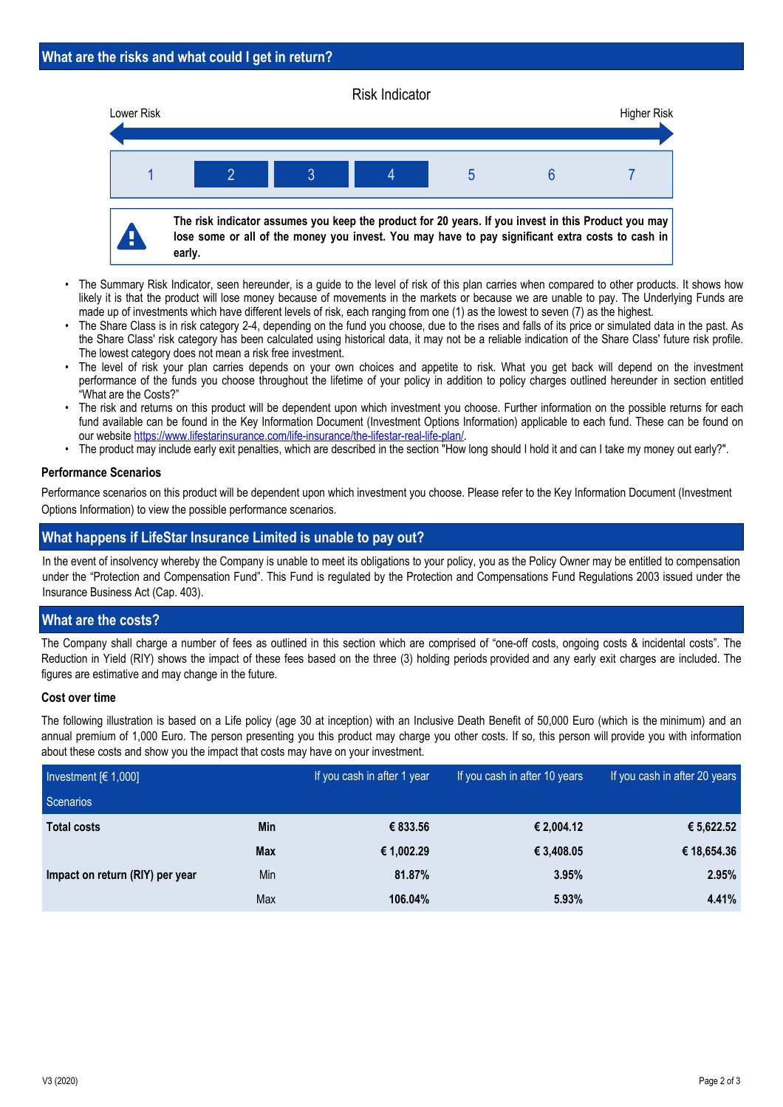#### Risk Indicator



- The Summary Risk Indicator, seen hereunder, is a guide to the level of risk of this plan carries when compared to other products. It shows how likely it is that the product will lose money because of movements in the markets or because we are unable to pay. The Underlying Funds are made up of investments which have different levels of risk, each ranging from one (1) as the lowest to seven (7) as the highest. •
- The Share Class is in risk category 2-4, depending on the fund you choose, due to the rises and falls of its price or simulated data in the past. As the Share Class' risk category has been calculated using historical data, it may not be a reliable indication of the Share Class' future risk profile. The lowest category does not mean a risk free investment. •
- The level of risk your plan carries depends on your own choices and appetite to risk. What you get back will depend on the investment performance of the funds you choose throughout the lifetime of your policy in addition to policy charges outlined hereunder in section entitled "What are the Costs?" •
- The risk and returns on this product will be dependent upon which investment you choose. Further information on the possible returns for each fund available can be found in the Key Information Document (Investment Options Information) applicable to each fund. These can be found on our website https://www.lifestarinsurance.com/life-insurance/the-lifestar-real-life-plan/. •
- The product may include early exit penalties, which are described in the section "How long should I hold it and can I take my money out early?".

## **Performance Scenarios**

Performance scenarios on this product will be dependent upon which investment you choose. Please refer to the Key Information Document (Investment Options Information) to view the possible performance scenarios.

# **What happens if LifeStar Insurance Limited is unable to pay out?**

In the event of insolvency whereby the Company is unable to meet its obligations to your policy, you as the Policy Owner may be entitled to compensation under the "Protection and Compensation Fund". This Fund is regulated by the Protection and Compensations Fund Regulations 2003 issued under the Insurance Business Act (Cap. 403).

# **What are the costs?**

The Company shall charge a number of fees as outlined in this section which are comprised of "one-off costs, ongoing costs & incidental costs". The Reduction in Yield (RIY) shows the impact of these fees based on the three (3) holding periods provided and any early exit charges are included. The figures are estimative and may change in the future.

#### **Cost over time**

The following illustration is based on a Life policy (age 30 at inception) with an Inclusive Death Benefit of 50,000 Euro (which is the minimum) and an annual premium of 1,000 Euro. The person presenting you this product may charge you other costs. If so, this person will provide you with information about these costs and show you the impact that costs may have on your investment.

| Investment $[6 1,000]$          |            | If you cash in after 1 year | If you cash in after 10 years | If you cash in after 20 years |
|---------------------------------|------------|-----------------------------|-------------------------------|-------------------------------|
| Scenarios                       |            |                             |                               |                               |
| <b>Total costs</b>              | <b>Min</b> | € 833.56                    | € 2,004.12                    | € 5,622.52                    |
|                                 | <b>Max</b> | € 1,002.29                  | € 3,408.05                    | € 18,654.36                   |
| Impact on return (RIY) per year | Min        | 81.87%                      | 3.95%                         | 2.95%                         |
|                                 | Max        | 106.04%                     | 5.93%                         | 4.41%                         |